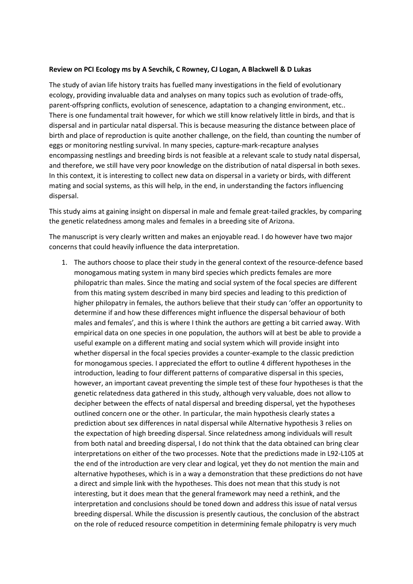## **Review on PCI Ecology ms by A Sevchik, C Rowney, CJ Logan, A Blackwell & D Lukas**

The study of avian life history traits has fuelled many investigations in the field of evolutionary ecology, providing invaluable data and analyses on many topics such as evolution of trade-offs, parent-offspring conflicts, evolution of senescence, adaptation to a changing environment, etc.. There is one fundamental trait however, for which we still know relatively little in birds, and that is dispersal and in particular natal dispersal. This is because measuring the distance between place of birth and place of reproduction is quite another challenge, on the field, than counting the number of eggs or monitoring nestling survival. In many species, capture-mark-recapture analyses encompassing nestlings and breeding birds is not feasible at a relevant scale to study natal dispersal, and therefore, we still have very poor knowledge on the distribution of natal dispersal in both sexes. In this context, it is interesting to collect new data on dispersal in a variety or birds, with different mating and social systems, as this will help, in the end, in understanding the factors influencing dispersal.

This study aims at gaining insight on dispersal in male and female great-tailed grackles, by comparing the genetic relatedness among males and females in a breeding site of Arizona.

The manuscript is very clearly written and makes an enjoyable read. I do however have two major concerns that could heavily influence the data interpretation.

1. The authors choose to place their study in the general context of the resource-defence based monogamous mating system in many bird species which predicts females are more philopatric than males. Since the mating and social system of the focal species are different from this mating system described in many bird species and leading to this prediction of higher philopatry in females, the authors believe that their study can 'offer an opportunity to determine if and how these differences might influence the dispersal behaviour of both males and females', and this is where I think the authors are getting a bit carried away. With empirical data on one species in one population, the authors will at best be able to provide a useful example on a different mating and social system which will provide insight into whether dispersal in the focal species provides a counter-example to the classic prediction for monogamous species. I appreciated the effort to outline 4 different hypotheses in the introduction, leading to four different patterns of comparative dispersal in this species, however, an important caveat preventing the simple test of these four hypotheses is that the genetic relatedness data gathered in this study, although very valuable, does not allow to decipher between the effects of natal dispersal and breeding dispersal, yet the hypotheses outlined concern one or the other. In particular, the main hypothesis clearly states a prediction about sex differences in natal dispersal while Alternative hypothesis 3 relies on the expectation of high breeding dispersal. Since relatedness among individuals will result from both natal and breeding dispersal, I do not think that the data obtained can bring clear interpretations on either of the two processes. Note that the predictions made in L92-L105 at the end of the introduction are very clear and logical, yet they do not mention the main and alternative hypotheses, which is in a way a demonstration that these predictions do not have a direct and simple link with the hypotheses. This does not mean that this study is not interesting, but it does mean that the general framework may need a rethink, and the interpretation and conclusions should be toned down and address this issue of natal versus breeding dispersal. While the discussion is presently cautious, the conclusion of the abstract on the role of reduced resource competition in determining female philopatry is very much